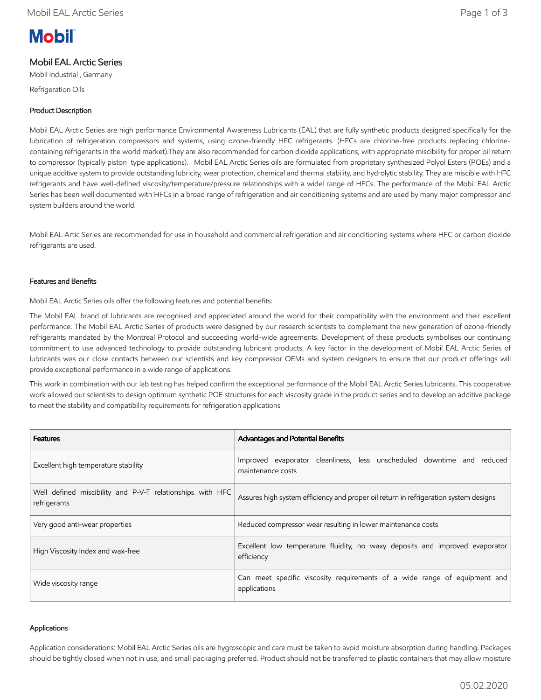# **Mobil**

# Mobil EAL Arctic Series

Mobil Industrial , Germany Refrigeration Oils

## Product Description

Mobil EAL Arctic Series are high performance Environmental Awareness Lubricants (EAL) that are fully synthetic products designed specifically for the lubrication of refrigeration compressors and systems, using ozone-friendly HFC refrigerants. (HFCs are chlorine-free products replacing chlorinecontaining refrigerants in the world market).They are also recommended for carbon dioxide applications, with appropriate miscibility for proper oil return to compressor (typically piston type applications). Mobil EAL Arctic Series oils are formulated from proprietary synthesized Polyol Esters (POEs) and a unique additive system to provide outstanding lubricity, wear protection, chemical and thermal stability, and hydrolytic stability. They are miscible with HFC refrigerants and have well-defined viscosity/temperature/pressure relationships with a widel range of HFCs. The performance of the Mobil EAL Arctic Series has been well documented with HFCs in a broad range of refrigeration and air conditioning systems and are used by many major compressor and system builders around the world.

Mobil EAL Artic Series are recommended for use in household and commercial refrigeration and air conditioning systems where HFC or carbon dioxide refrigerants are used.

## Features and Benefits

Mobil EAL Arctic Series oils offer the following features and potential benefits:

The Mobil EAL brand of lubricants are recognised and appreciated around the world for their compatibility with the environment and their excellent performance. The Mobil EAL Arctic Series of products were designed by our research scientists to complement the new generation of ozone-friendly refrigerants mandated by the Montreal Protocol and succeeding world-wide agreements. Development of these products symbolises our continuing commitment to use advanced technology to provide outstanding lubricant products. A key factor in the development of Mobil EAL Arctic Series of lubricants was our close contacts between our scientists and key compressor OEMs and system designers to ensure that our product offerings will provide exceptional performance in a wide range of applications.

This work in combination with our lab testing has helped confirm the exceptional performance of the Mobil EAL Arctic Series lubricants. This cooperative work allowed our scientists to design optimum synthetic POE structures for each viscosity grade in the product series and to develop an additive package to meet the stability and compatibility requirements for refrigeration applications

| <b>Features</b>                                                           | Advantages and Potential Benefits                                                           |  |  |  |  |  |
|---------------------------------------------------------------------------|---------------------------------------------------------------------------------------------|--|--|--|--|--|
| Excellent high temperature stability                                      | Improved evaporator cleanliness, less unscheduled downtime and reduced<br>maintenance costs |  |  |  |  |  |
| Well defined miscibility and P-V-T relationships with HFC<br>refrigerants | Assures high system efficiency and proper oil return in refrigeration system designs        |  |  |  |  |  |
| Very good anti-wear properties                                            | Reduced compressor wear resulting in lower maintenance costs                                |  |  |  |  |  |
| High Viscosity Index and wax-free                                         | Excellent low temperature fluidity, no waxy deposits and improved evaporator<br>efficiency  |  |  |  |  |  |
| Wide viscosity range                                                      | Can meet specific viscosity requirements of a wide range of equipment and<br>applications   |  |  |  |  |  |

### Applications

Application considerations: Mobil EAL Arctic Series oils are hygroscopic and care must be taken to avoid moisture absorption during handling. Packages should be tightly closed when not in use, and small packaging preferred. Product should not be transferred to plastic containers that may allow moisture